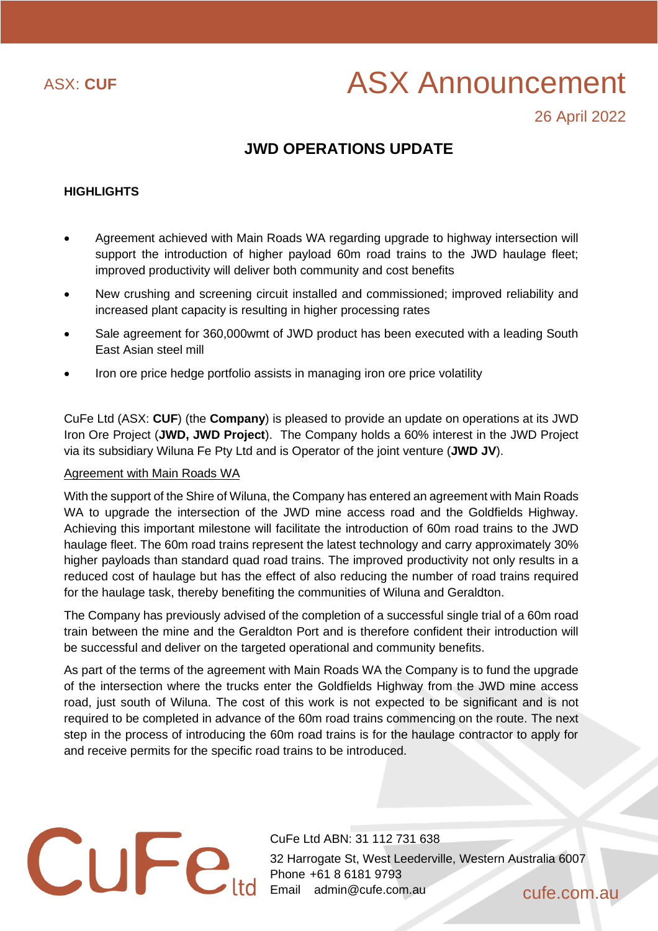

# ASX: CUF ASX Announcement

26 April 2022

# **JWD OPERATIONS UPDATE**

# **HIGHLIGHTS**

- Agreement achieved with Main Roads WA regarding upgrade to highway intersection will support the introduction of higher payload 60m road trains to the JWD haulage fleet; improved productivity will deliver both community and cost benefits
- New crushing and screening circuit installed and commissioned; improved reliability and increased plant capacity is resulting in higher processing rates
- Sale agreement for 360,000wmt of JWD product has been executed with a leading South East Asian steel mill
- Iron ore price hedge portfolio assists in managing iron ore price volatility

CuFe Ltd (ASX: **CUF**) (the **Company**) is pleased to provide an update on operations at its JWD Iron Ore Project (**JWD, JWD Project**). The Company holds a 60% interest in the JWD Project via its subsidiary Wiluna Fe Pty Ltd and is Operator of the joint venture (**JWD JV**).

## Agreement with Main Roads WA

With the support of the Shire of Wiluna, the Company has entered an agreement with Main Roads WA to upgrade the intersection of the JWD mine access road and the Goldfields Highway. Achieving this important milestone will facilitate the introduction of 60m road trains to the JWD haulage fleet. The 60m road trains represent the latest technology and carry approximately 30% higher payloads than standard quad road trains. The improved productivity not only results in a reduced cost of haulage but has the effect of also reducing the number of road trains required for the haulage task, thereby benefiting the communities of Wiluna and Geraldton.

The Company has previously advised of the completion of a successful single trial of a 60m road train between the mine and the Geraldton Port and is therefore confident their introduction will be successful and deliver on the targeted operational and community benefits.

As part of the terms of the agreement with Main Roads WA the Company is to fund the upgrade of the intersection where the trucks enter the Goldfields Highway from the JWD mine access road, just south of Wiluna. The cost of this work is not expected to be significant and is not required to be completed in advance of the 60m road trains commencing on the route. The next step in the process of introducing the 60m road trains is for the haulage contractor to apply for and receive permits for the specific road trains to be introduced.

CuFe Ltd ABN: 31 112 731 638 32 Harrogate St, West Leederville, Western Australia 6007 Phone +61 8 6181 9793 Email admin@cufe.com.au cufe.com.au